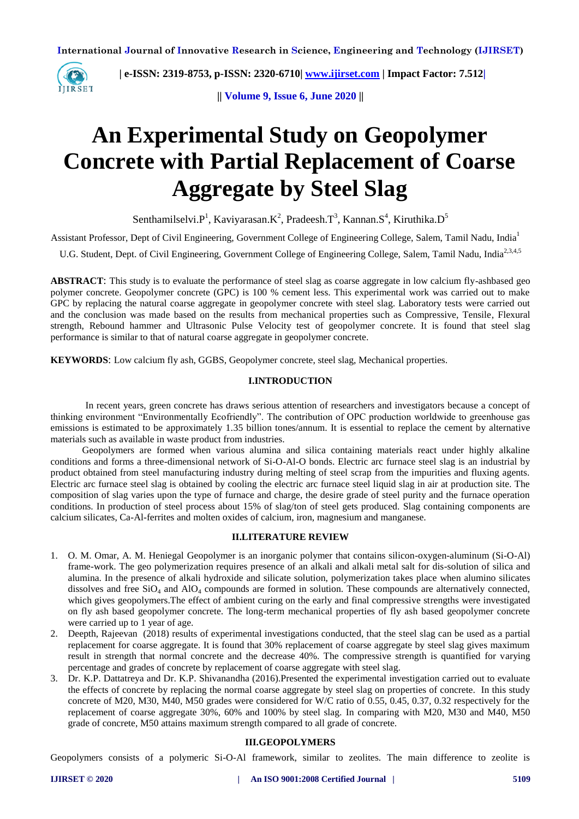

 **| e-ISSN: 2319-8753, p-ISSN: 2320-6710| [www.ijirset.com](http://www.ijirset.com/) | Impact Factor: 7.512|**

**|| Volume 9, Issue 6, June 2020 ||** 

# **An Experimental Study on Geopolymer Concrete with Partial Replacement of Coarse Aggregate by Steel Slag**

Senthamilselvi. $P^1$ , Kaviyarasan.K<sup>2</sup>, Pradeesh.T<sup>3</sup>, Kannan.S<sup>4</sup>, Kiruthika.D<sup>5</sup>

Assistant Professor, Dept of Civil Engineering, Government College of Engineering College, Salem, Tamil Nadu, India<sup>1</sup>

U.G. Student, Dept. of Civil Engineering, Government College of Engineering College, Salem, Tamil Nadu, India<sup>2,3,4,5</sup>

**ABSTRACT**: This study is to evaluate the performance of steel slag as coarse aggregate in low calcium fly-ashbased geo polymer concrete. Geopolymer concrete (GPC) is 100 % cement less. This experimental work was carried out to make GPC by replacing the natural coarse aggregate in geopolymer concrete with steel slag. Laboratory tests were carried out and the conclusion was made based on the results from mechanical properties such as Compressive, Tensile, Flexural strength, Rebound hammer and Ultrasonic Pulse Velocity test of geopolymer concrete. It is found that steel slag performance is similar to that of natural coarse aggregate in geopolymer concrete.

**KEYWORDS**: Low calcium fly ash, GGBS, Geopolymer concrete, steel slag, Mechanical properties.

# **I.INTRODUCTION**

In recent years, green concrete has draws serious attention of researchers and investigators because a concept of thinking environment "Environmentally Ecofriendly". The contribution of OPC production worldwide to greenhouse gas emissions is estimated to be approximately 1.35 billion tones/annum. It is essential to replace the cement by alternative materials such as available in waste product from industries.

 Geopolymers are formed when various alumina and silica containing materials react under highly alkaline conditions and forms a three-dimensional network of Si-O-Al-O bonds. Electric arc furnace steel slag is an industrial by product obtained from steel manufacturing industry during melting of steel scrap from the impurities and fluxing agents. Electric arc furnace steel slag is obtained by cooling the electric arc furnace steel liquid slag in air at production site. The composition of slag varies upon the type of furnace and charge, the desire grade of steel purity and the furnace operation conditions. In production of steel process about 15% of slag/ton of steel gets produced. Slag containing components are calcium silicates, Ca-Al-ferrites and molten oxides of calcium, iron, magnesium and manganese.

# **II.LITERATURE REVIEW**

- 1. O. M. Omar, A. M. Heniegal Geopolymer is an inorganic polymer that contains silicon-oxygen-aluminum (Si-O-Al) frame-work. The geo polymerization requires presence of an alkali and alkali metal salt for dis-solution of silica and alumina. In the presence of alkali hydroxide and silicate solution, polymerization takes place when alumino silicates dissolves and free SiO<sub>4</sub> and AlO<sub>4</sub> compounds are formed in solution. These compounds are alternatively connected, which gives geopolymers.The effect of ambient curing on the early and final compressive strengths were investigated on fly ash based geopolymer concrete. The long-term mechanical properties of fly ash based geopolymer concrete were carried up to 1 year of age.
- 2. Deepth, Rajeevan (2018) results of experimental investigations conducted, that the steel slag can be used as a partial replacement for coarse aggregate. It is found that 30% replacement of coarse aggregate by steel slag gives maximum result in strength that normal concrete and the decrease 40%. The compressive strength is quantified for varying percentage and grades of concrete by replacement of coarse aggregate with steel slag.
- 3. Dr. K.P. Dattatreya and Dr. K.P. Shivanandha (2016).Presented the experimental investigation carried out to evaluate the effects of concrete by replacing the normal coarse aggregate by steel slag on properties of concrete. In this study concrete of M20, M30, M40, M50 grades were considered for W/C ratio of 0.55, 0.45, 0.37, 0.32 respectively for the replacement of coarse aggregate 30%, 60% and 100% by steel slag. In comparing with M20, M30 and M40, M50 grade of concrete, M50 attains maximum strength compared to all grade of concrete.

# **III.GEOPOLYMERS**

Geopolymers consists of a polymeric Si-O-Al framework, similar to zeolites. The main difference to zeolite is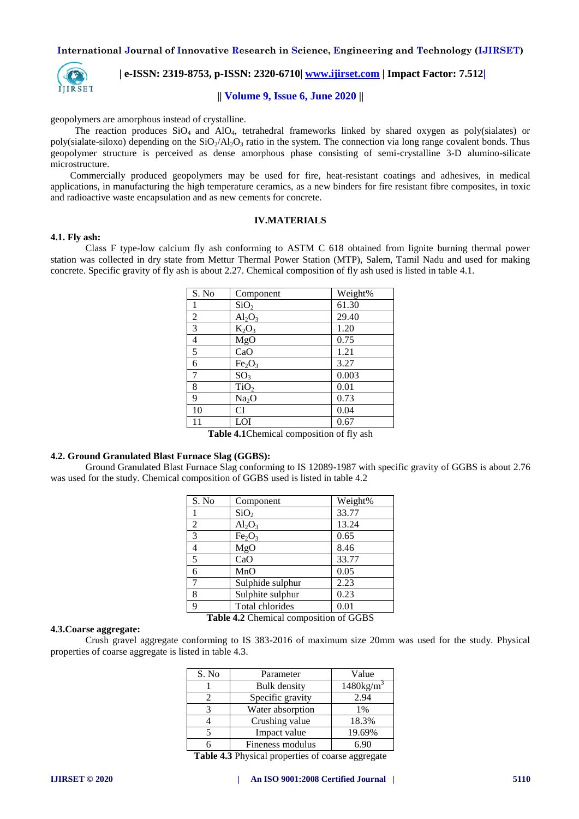

# **| e-ISSN: 2319-8753, p-ISSN: 2320-6710| [www.ijirset.com](http://www.ijirset.com/) | Impact Factor: 7.512|**

# **|| Volume 9, Issue 6, June 2020 ||**

geopolymers are amorphous instead of crystalline.

The reaction produces  $SiO<sub>4</sub>$  and  $AlO<sub>4</sub>$ , tetrahedral frameworks linked by shared oxygen as poly(sialates) or poly(sialate-siloxo) depending on the  $SiO<sub>2</sub>/Al<sub>2</sub>O<sub>3</sub>$  ratio in the system. The connection via long range covalent bonds. Thus geopolymer structure is perceived as dense amorphous phase consisting of semi-crystalline 3-D alumino-silicate microstructure.

 Commercially produced geopolymers may be used for fire, heat-resistant coatings and adhesives, in medical applications, in manufacturing the high temperature ceramics, as a new binders for fire resistant fibre composites, in toxic and radioactive waste encapsulation and as new cements for concrete.

## **IV.MATERIALS**

#### **4.1. Fly ash:**

Class F type-low calcium fly ash conforming to ASTM C 618 obtained from lignite burning thermal power station was collected in dry state from Mettur Thermal Power Station (MTP), Salem, Tamil Nadu and used for making concrete. Specific gravity of fly ash is about 2.27. Chemical composition of fly ash used is listed in table 4.1.

| S. No          | Component                             | Weight% |
|----------------|---------------------------------------|---------|
| 1              | SiO <sub>2</sub>                      | 61.30   |
| $\overline{2}$ | $Al_2O_3$                             | 29.40   |
| 3              | $\overline{\mathrm{K}}_2\mathrm{O}_3$ | 1.20    |
| 4              | MgO                                   | 0.75    |
| 5              | CaO                                   | 1.21    |
| 6              | Fe <sub>2</sub> O <sub>3</sub>        | 3.27    |
| 7              | SO <sub>3</sub>                       | 0.003   |
| 8              | TiO <sub>2</sub>                      | 0.01    |
| 9              | Na <sub>2</sub> O                     | 0.73    |
| 10             | <b>CI</b>                             | 0.04    |
| 11             | LOI                                   | 0.67    |

**Table 4.1**Chemical composition of fly ash

# **4.2. Ground Granulated Blast Furnace Slag (GGBS):**

Ground Granulated Blast Furnace Slag conforming to IS 12089-1987 with specific gravity of GGBS is about 2.76 was used for the study. Chemical composition of GGBS used is listed in table 4.2

| S. No | Component                      | Weight% |
|-------|--------------------------------|---------|
|       | SiO <sub>2</sub>               | 33.77   |
| 2     | $Al_2O_3$                      | 13.24   |
| 3     | Fe <sub>2</sub> O <sub>3</sub> | 0.65    |
| 4     | MgO                            | 8.46    |
| 5     | CaO                            | 33.77   |
| 6     | MnO                            | 0.05    |
| 7     | Sulphide sulphur               | 2.23    |
| 8     | Sulphite sulphur               | 0.23    |
| 9     | Total chlorides                | 0.01    |
|       |                                |         |

#### **Table 4.2** Chemical composition of GGBS

# **4.3.Coarse aggregate:**

Crush gravel aggregate conforming to IS 383-2016 of maximum size 20mm was used for the study. Physical properties of coarse aggregate is listed in table 4.3.

| S. No | Parameter        | Value               |
|-------|------------------|---------------------|
|       | Bulk density     | $1480\text{kg/m}^3$ |
|       | Specific gravity | 2.94                |
|       | Water absorption | $1\%$               |
|       | Crushing value   | 18.3%               |
|       | Impact value     | 19.69%              |
|       | Fineness modulus | 6.90                |

**Table 4.3** Physical properties of coarse aggregate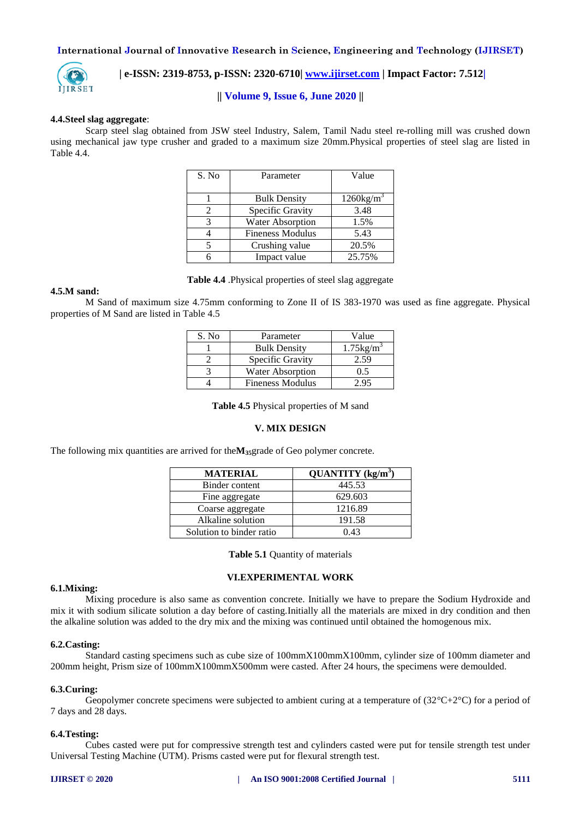

# **| e-ISSN: 2319-8753, p-ISSN: 2320-6710| [www.ijirset.com](http://www.ijirset.com/) | Impact Factor: 7.512|**

# **|| Volume 9, Issue 6, June 2020 ||**

#### **4.4.Steel slag aggregate**:

Scarp steel slag obtained from JSW steel Industry, Salem, Tamil Nadu steel re-rolling mill was crushed down using mechanical jaw type crusher and graded to a maximum size 20mm.Physical properties of steel slag are listed in Table 4.4.

| S. No | Parameter               | Value                    |
|-------|-------------------------|--------------------------|
|       |                         |                          |
|       | <b>Bulk Density</b>     | $1260$ kg/m <sup>3</sup> |
| 2     | Specific Gravity        | 3.48                     |
| 3     | <b>Water Absorption</b> | 1.5%                     |
|       | <b>Fineness Modulus</b> | 5.43                     |
|       | Crushing value          | 20.5%                    |
|       | Impact value            | 25.75%                   |

**Table 4.4** .Physical properties of steel slag aggregate

#### **4.5.M sand:**

M Sand of maximum size 4.75mm conforming to Zone II of IS 383-1970 was used as fine aggregate. Physical properties of M Sand are listed in Table 4.5

| S. No | Parameter               | Value                    |
|-------|-------------------------|--------------------------|
|       | <b>Bulk Density</b>     | $1.75$ kg/m <sup>3</sup> |
|       | Specific Gravity        | 2.59                     |
|       | <b>Water Absorption</b> | 0.5                      |
|       | <b>Fineness Modulus</b> | , 95                     |

**Table 4.5** Physical properties of M sand

#### **V. MIX DESIGN**

The following mix quantities are arrived for the**M35**grade of Geo polymer concrete.

| <b>MATERIAL</b>          | QUANTITY $(kg/m^3)$ |
|--------------------------|---------------------|
| Binder content           | 445.53              |
| Fine aggregate           | 629.603             |
| Coarse aggregate         | 1216.89             |
| Alkaline solution        | 191.58              |
| Solution to binder ratio | 0.43                |

**Table 5.1** Quantity of materials

#### **VI.EXPERIMENTAL WORK**

#### **6.1.Mixing:**

Mixing procedure is also same as convention concrete. Initially we have to prepare the Sodium Hydroxide and mix it with sodium silicate solution a day before of casting.Initially all the materials are mixed in dry condition and then the alkaline solution was added to the dry mix and the mixing was continued until obtained the homogenous mix.

# **6.2.Casting:**

Standard casting specimens such as cube size of 100mmX100mmX100mm, cylinder size of 100mm diameter and 200mm height, Prism size of 100mmX100mmX500mm were casted. After 24 hours, the specimens were demoulded.

# **6.3.Curing:**

Geopolymer concrete specimens were subjected to ambient curing at a temperature of  $(32^{\circ}C+2^{\circ}C)$  for a period of 7 days and 28 days.

#### **6.4.Testing:**

Cubes casted were put for compressive strength test and cylinders casted were put for tensile strength test under Universal Testing Machine (UTM). Prisms casted were put for flexural strength test.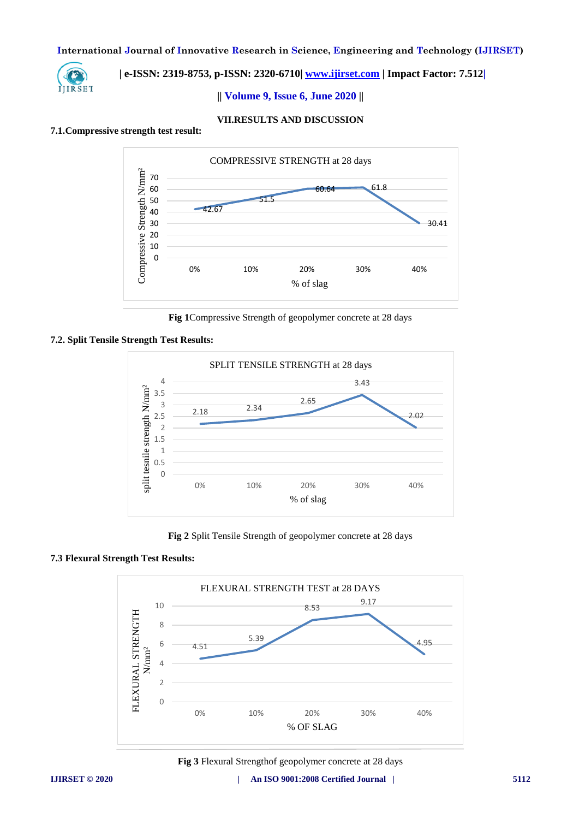

# **| e-ISSN: 2319-8753, p-ISSN: 2320-6710| [www.ijirset.com](http://www.ijirset.com/) | Impact Factor: 7.512|**

**|| Volume 9, Issue 6, June 2020 ||** 

# **VII.RESULTS AND DISCUSSION**

#### **7.1.Compressive strength test result:**



**Fig 1**Compressive Strength of geopolymer concrete at 28 days

# **7.2. Split Tensile Strength Test Results:**



**Fig 2** Split Tensile Strength of geopolymer concrete at 28 days

# **7.3 Flexural Strength Test Results:**



**Fig 3** Flexural Strengthof geopolymer concrete at 28 days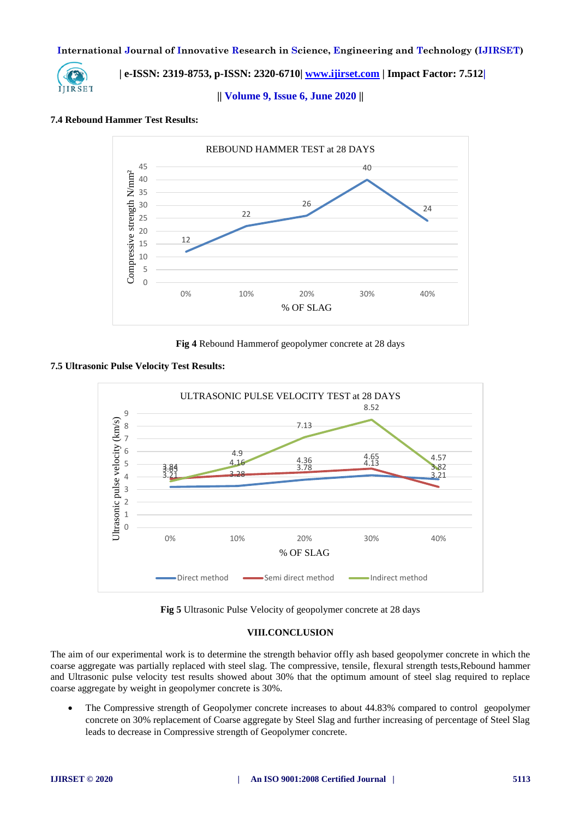

 **| e-ISSN: 2319-8753, p-ISSN: 2320-6710| [www.ijirset.com](http://www.ijirset.com/) | Impact Factor: 7.512|**

**|| Volume 9, Issue 6, June 2020 ||** 

# **7.4 Rebound Hammer Test Results:**



**Fig 4** Rebound Hammerof geopolymer concrete at 28 days

# **7.5 Ultrasonic Pulse Velocity Test Results:**



**Fig 5** Ultrasonic Pulse Velocity of geopolymer concrete at 28 days

# **VIII.CONCLUSION**

The aim of our experimental work is to determine the strength behavior offly ash based geopolymer concrete in which the coarse aggregate was partially replaced with steel slag. The compressive, tensile, flexural strength tests,Rebound hammer and Ultrasonic pulse velocity test results showed about 30% that the optimum amount of steel slag required to replace coarse aggregate by weight in geopolymer concrete is 30%.

 The Compressive strength of Geopolymer concrete increases to about 44.83% compared to control geopolymer concrete on 30% replacement of Coarse aggregate by Steel Slag and further increasing of percentage of Steel Slag leads to decrease in Compressive strength of Geopolymer concrete.